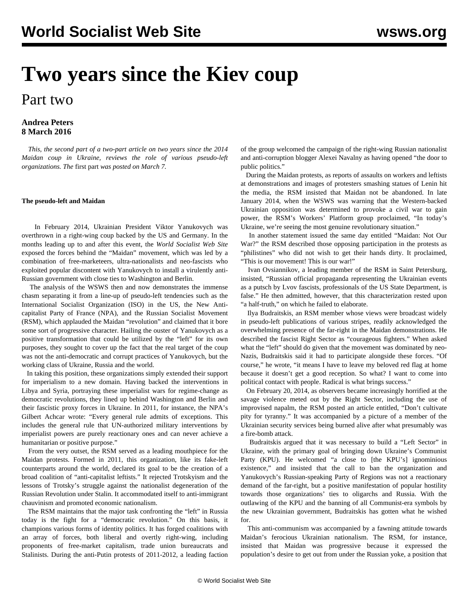## **Two years since the Kiev coup**

## Part two

## **Andrea Peters 8 March 2016**

 *This, the second part of a two-part article on two years since the 2014 Maidan coup in Ukraine, reviews the role of various pseudo-left organizations. The* [first part](/en/articles/2016/03/07/ukra-m07.html) *was posted on March 7.*

## **The pseudo-left and Maidan**

 In February 2014, Ukrainian President Viktor Yanukovych was overthrown in a right-wing coup backed by the US and Germany. In the months leading up to and after this event, the *World Socialist Web Site* exposed the forces behind the "Maidan" movement, which was led by a combination of free-marketeers, ultra-nationalists and neo-fascists who exploited popular discontent with Yanukovych to install a virulently anti-Russian government with close ties to Washington and Berlin.

 The analysis of the WSWS then and now demonstrates the immense chasm separating it from a line-up of pseudo-left tendencies such as the International Socialist Organization (ISO) in the US, the New Anticapitalist Party of France (NPA), and the Russian Socialist Movement (RSM), which applauded the Maidan "revolution" and claimed that it bore some sort of progressive character. Hailing the ouster of Yanukovych as a positive transformation that could be utilized by the "left" for its own purposes, they sought to cover up the fact that the real target of the coup was not the anti-democratic and corrupt practices of Yanukovych, but the working class of Ukraine, Russia and the world.

 In taking this position, these organizations simply extended their support for imperialism to a new domain. Having backed the interventions in Libya and Syria, portraying these imperialist wars for regime-change as democratic revolutions, they lined up behind Washington and Berlin and their fascistic proxy forces in Ukraine. In 2011, for instance, the NPA's Gilbert Achcar wrote: "Every general rule admits of exceptions. This includes the general rule that UN-authorized military interventions by imperialist powers are purely reactionary ones and can never achieve a humanitarian or positive purpose."

 From the very outset, the RSM served as a leading mouthpiece for the Maidan protests. Formed in 2011, this organization, like its fake-left counterparts around the world, declared its goal to be the creation of a broad coalition of "anti-capitalist leftists." It rejected Trotskyism and the lessons of Trotsky's struggle against the nationalist degeneration of the Russian Revolution under Stalin. It accommodated itself to anti-immigrant chauvinism and promoted economic nationalism.

 The RSM maintains that the major task confronting the "left" in Russia today is the fight for a "democratic revolution." On this basis, it champions various forms of identity politics. It has forged coalitions with an array of forces, both liberal and overtly right-wing, including proponents of free-market capitalism, trade union bureaucrats and Stalinists. During the anti-Putin protests of 2011-2012, a leading faction

of the group welcomed the campaign of the right-wing Russian nationalist and anti-corruption blogger Alexei Navalny as having opened "the door to public politics."

 During the Maidan protests, as reports of assaults on workers and leftists at demonstrations and images of protesters smashing statues of Lenin hit the media, the RSM insisted that Maidan not be abandoned. In late January 2014, when the WSWS was warning that the Western-backed Ukrainian opposition was determined to provoke a civil war to gain power, the RSM's Workers' Platform group proclaimed, "In today's Ukraine, we're seeing the most genuine revolutionary situation."

 In another statement issued the same day entitled "Maidan: Not Our War?" the RSM described those opposing participation in the protests as "philistines" who did not wish to get their hands dirty. It proclaimed, "This is our movement! This is our war!"

 Ivan Ovsiannikov, a leading member of the RSM in Saint Petersburg, insisted, "Russian official propaganda representing the Ukrainian events as a putsch by Lvov fascists, professionals of the US State Department, is false." He then admitted, however, that this characterization rested upon "a half-truth," on which he failed to elaborate.

 Ilya Budraitskis, an RSM member whose views were broadcast widely in pseudo-left publications of various stripes, readily acknowledged the overwhelming presence of the far-right in the Maidan demonstrations. He described the fascist Right Sector as "courageous fighters." When asked what the "left" should do given that the movement was dominated by neo-Nazis, Budraitskis said it had to participate alongside these forces. "Of course," he wrote, "it means I have to leave my beloved red flag at home because it doesn't get a good reception. So what? I want to come into political contact with people. Radical is what brings success."

 On February 20, 2014, as observers became increasingly horrified at the savage violence meted out by the Right Sector, including the use of improvised napalm, the RSM posted an article entitled, "Don't cultivate pity for tyranny." It was accompanied by a picture of a member of the Ukrainian security services being burned alive after what presumably was a fire-bomb attack.

 Budraitskis argued that it was necessary to build a "Left Sector" in Ukraine, with the primary goal of bringing down Ukraine's Communist Party (KPU). He welcomed "a close to [the KPU's] ignominious existence," and insisted that the call to ban the organization and Yanukovych's Russian-speaking Party of Regions was not a reactionary demand of the far-right, but a positive manifestation of popular hostility towards those organizations' ties to oligarchs and Russia. With the outlawing of the KPU and the banning of all Communist-era symbols by the new Ukrainian government, Budraitskis has gotten what he wished for.

 This anti-communism was accompanied by a fawning attitude towards Maidan's ferocious Ukrainian nationalism. The RSM, for instance, insisted that Maidan was progressive because it expressed the population's desire to get out from under the Russian yoke, a position that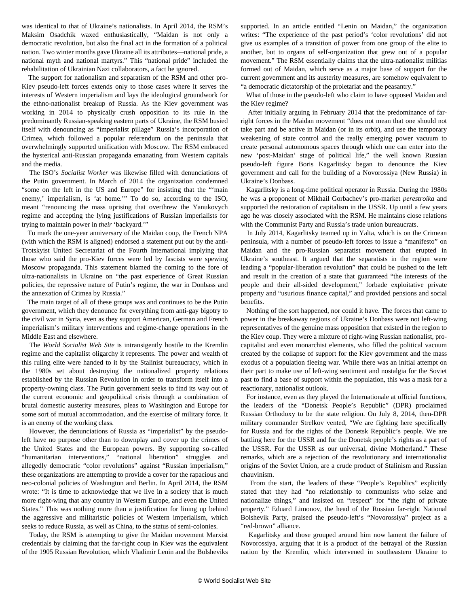was identical to that of Ukraine's nationalists. In April 2014, the RSM's Maksim Osadchik waxed enthusiastically, "Maidan is not only a democratic revolution, but also the final act in the formation of a political nation. Two winter months gave Ukraine all its attributes—national pride, a national myth and national martyrs." This "national pride" included the rehabilitation of Ukrainian Nazi collaborators, a fact he ignored.

 The support for nationalism and separatism of the RSM and other pro-Kiev pseudo-left forces extends only to those cases where it serves the interests of Western imperialism and lays the ideological groundwork for the ethno-nationalist breakup of Russia. As the Kiev government was working in 2014 to physically crush opposition to its rule in the predominantly Russian-speaking eastern parts of Ukraine, the RSM busied itself with denouncing as "imperialist pillage" Russia's incorporation of Crimea, which followed a popular referendum on the peninsula that overwhelmingly supported unification with Moscow. The RSM embraced the hysterical anti-Russian propaganda emanating from Western capitals and the media.

 The ISO's *Socialist Worker* was likewise filled with denunciations of the Putin government. In March of 2014 the organization condemned "some on the left in the US and Europe" for insisting that the "'main enemy,' imperialism, is 'at home.'" To do so, according to the ISO, meant "renouncing the mass uprising that overthrew the Yanukovych regime and accepting the lying justifications of Russian imperialists for trying to maintain power in *their* 'backyard.'"

 To mark the one-year anniversary of the Maidan coup, the French NPA (with which the RSM is aligned) endorsed a statement put out by the anti-Trotskyist United Secretariat of the Fourth International implying that those who said the pro-Kiev forces were led by fascists were spewing Moscow propaganda. This statement blamed the coming to the fore of ultra-nationalists in Ukraine on "the past experience of Great Russian policies, the repressive nature of Putin's regime, the war in Donbass and the annexation of Crimea by Russia."

 The main target of all of these groups was and continues to be the Putin government, which they denounce for everything from anti-gay bigotry to the civil war in Syria, even as they support American, German and French imperialism's military interventions and regime-change operations in the Middle East and elsewhere.

 The *World Socialist Web Site* is intransigently hostile to the Kremlin regime and the capitalist oligarchy it represents. The power and wealth of this ruling elite were handed to it by the Stalinist bureaucracy, which in the 1980s set about destroying the nationalized property relations established by the Russian Revolution in order to transform itself into a property-owning class. The Putin government seeks to find its way out of the current economic and geopolitical crisis through a combination of brutal domestic austerity measures, pleas to Washington and Europe for some sort of mutual accommodation, and the exercise of military force. It is an enemy of the working class.

 However, the denunciations of Russia as "imperialist" by the pseudoleft have no purpose other than to downplay and cover up the crimes of the United States and the European powers. By supporting so-called "humanitarian interventions," "national liberation" struggles and allegedly democratic "color revolutions" against "Russian imperialism," these organizations are attempting to provide a cover for the rapacious and neo-colonial policies of Washington and Berlin. In April 2014, the RSM wrote: "It is time to acknowledge that we live in a society that is much more right-wing that any country in Western Europe, and even the United States." This was nothing more than a justification for lining up behind the aggressive and militaristic policies of Western imperialism, which seeks to reduce Russia, as well as China, to the status of semi-colonies.

 Today, the RSM is attempting to give the Maidan movement Marxist credentials by claiming that the far-right coup in Kiev was the equivalent of the 1905 Russian Revolution, which Vladimir Lenin and the Bolsheviks

supported. In an article entitled "Lenin on Maidan," the organization writes: "The experience of the past period's 'color revolutions' did not give us examples of a transition of power from one group of the elite to another, but to organs of self-organization that grew out of a popular movement." The RSM essentially claims that the ultra-nationalist militias formed out of Maidan, which serve as a major base of support for the current government and its austerity measures, are somehow equivalent to "a democratic dictatorship of the proletariat and the peasantry."

 What of those in the pseudo-left who claim to have opposed Maidan and the Kiev regime?

 After initially arguing in February 2014 that the predominance of farright forces in the Maidan movement "does not mean that one should not take part and be active in Maidan (or in its orbit), and use the temporary weakening of state control and the really emerging power vacuum to create personal autonomous spaces through which one can enter into the new 'post-Maidan' stage of political life," the well known Russian pseudo-left figure Boris Kagarlitsky began to denounce the Kiev government and call for the building of a Novorossiya (New Russia) in Ukraine's Donbass.

 Kagarlitsky is a long-time political operator in Russia. During the 1980s he was a proponent of Mikhail Gorbachev's pro-market *perestroika* and supported the restoration of capitalism in the USSR. Up until a few years ago he was closely associated with the RSM. He maintains close relations with the Communist Party and Russia's trade union bureaucrats.

 In July 2014, Kagarlitsky teamed up in Yalta, which is on the Crimean peninsula, with a number of pseudo-left forces to issue a "manifesto" on Maidan and the pro-Russian separatist movement that erupted in Ukraine's southeast. It argued that the separatists in the region were leading a "popular-liberation revolution" that could be pushed to the left and result in the creation of a state that guaranteed "the interests of the people and their all-sided development," forbade exploitative private property and "usurious finance capital," and provided pensions and social benefits.

 Nothing of the sort happened, nor could it have. The forces that came to power in the breakaway regions of Ukraine's Donbass were not left-wing representatives of the genuine mass opposition that existed in the region to the Kiev coup. They were a mixture of right-wing Russian nationalist, procapitalist and even monarchist elements, who filled the political vacuum created by the collapse of support for the Kiev government and the mass exodus of a population fleeing war. While there was an initial attempt on their part to make use of left-wing sentiment and nostalgia for the Soviet past to find a base of support within the population, this was a mask for a reactionary, nationalist outlook.

 For instance, even as they played the Internationale at official functions, the leaders of the "Donetsk People's Republic" (DPR) proclaimed Russian Orthodoxy to be the state religion. On July 8, 2014, then-DPR military commander Strelkov vented, "We are fighting here specifically for Russia and for the rights of the Donetsk Republic's people. We are battling here for the USSR and for the Donetsk people's rights as a part of the USSR. For the USSR as our universal, divine Motherland." These remarks, which are a rejection of the revolutionary and internationalist origins of the Soviet Union, are a crude product of Stalinism and Russian chauvinism.

 From the start, the leaders of these "People's Republics" explicitly stated that they had "no relationship to communists who seize and nationalize things," and insisted on "respect" for "the right of private property." Eduard Limonov, the head of the Russian far-right National Bolshevik Party, praised the pseudo-left's "Novorossiya" project as a "red-brown" alliance.

 Kagarlitsky and those grouped around him now lament the failure of Novorossiya, arguing that it is a product of the betrayal of the Russian nation by the Kremlin, which intervened in southeastern Ukraine to